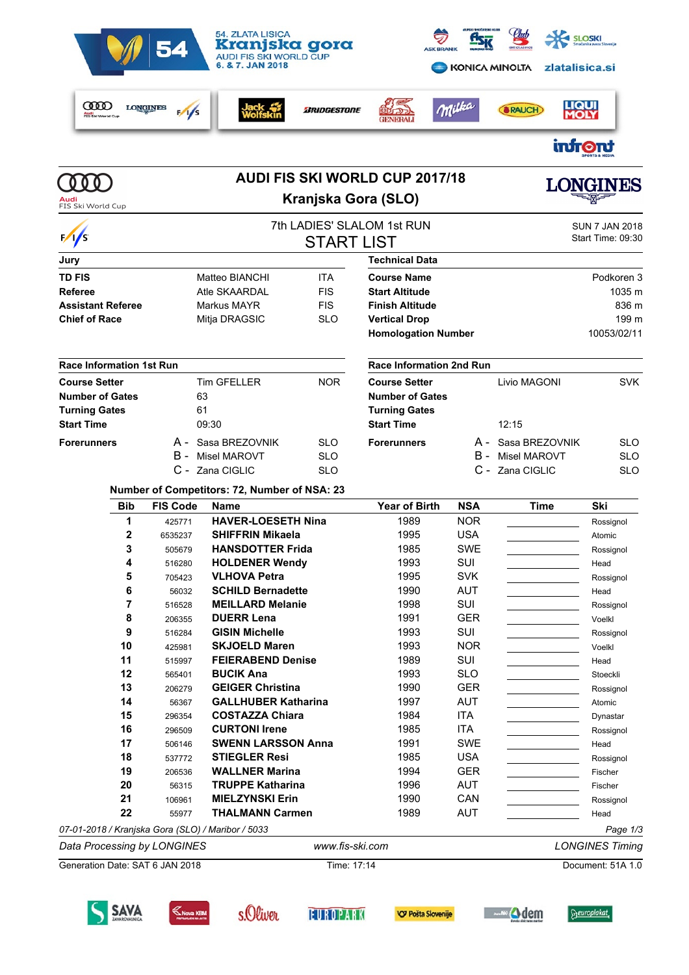

#### **Number of Competitors: 72, Number of NSA: 23**

C - Zana CIGLIC SLO

| <b>Bib</b>   | <b>FIS Code</b> | Name                                              | Year of Birth | <b>NSA</b> | Time | Ski       |
|--------------|-----------------|---------------------------------------------------|---------------|------------|------|-----------|
| 1            | 425771          | <b>HAVER-LOESETH Nina</b>                         | 1989          | <b>NOR</b> |      | Rossignol |
| $\mathbf{2}$ | 6535237         | <b>SHIFFRIN Mikaela</b>                           | 1995          | <b>USA</b> |      | Atomic    |
| 3            | 505679          | <b>HANSDOTTER Frida</b>                           | 1985          | SWE        |      | Rossignol |
| 4            | 516280          | <b>HOLDENER Wendy</b>                             | 1993          | SUI        |      | Head      |
| 5            | 705423          | <b>VLHOVA Petra</b>                               | 1995          | <b>SVK</b> |      | Rossignol |
| 6            | 56032           | <b>SCHILD Bernadette</b>                          | 1990          | <b>AUT</b> |      | Head      |
| 7            | 516528          | <b>MEILLARD Melanie</b>                           | 1998          | SUI        |      | Rossignol |
| 8            | 206355          | <b>DUERR Lena</b>                                 | 1991          | <b>GER</b> |      | Voelkl    |
| 9            | 516284          | <b>GISIN Michelle</b>                             | 1993          | SUI        |      | Rossignol |
| 10           | 425981          | <b>SKJOELD Maren</b>                              | 1993          | <b>NOR</b> |      | Voelkl    |
| 11           | 515997          | <b>FEIERABEND Denise</b>                          | 1989          | SUI        |      | Head      |
| 12           | 565401          | <b>BUCIK Ana</b>                                  | 1993          | <b>SLO</b> |      | Stoeckli  |
| 13           | 206279          | <b>GEIGER Christina</b>                           | 1990          | <b>GER</b> |      | Rossignol |
| 14           | 56367           | <b>GALLHUBER Katharina</b>                        | 1997          | <b>AUT</b> |      | Atomic    |
| 15           | 296354          | <b>COSTAZZA Chiara</b>                            | 1984          | ITA        |      | Dynastar  |
| 16           | 296509          | <b>CURTONI Irene</b>                              | 1985          | ITA        |      | Rossignol |
| 17           | 506146          | <b>SWENN LARSSON Anna</b>                         | 1991          | <b>SWE</b> |      | Head      |
| 18           | 537772          | <b>STIEGLER Resi</b>                              | 1985          | <b>USA</b> |      | Rossignol |
| 19           | 206536          | <b>WALLNER Marina</b>                             | 1994          | <b>GER</b> |      | Fischer   |
| 20           | 56315           | <b>TRUPPE Katharina</b>                           | 1996          | <b>AUT</b> |      | Fischer   |
| 21           | 106961          | <b>MIELZYNSKI Erin</b>                            | 1990          | CAN        |      | Rossignol |
| 22           | 55977           | <b>THALMANN Carmen</b>                            | 1989          | <b>AUT</b> |      | Head      |
|              |                 | 07-01-2018 / Kranjska Gora (SLO) / Maribor / 5033 |               |            |      | Page 1/3  |

*Data Processing by LONGINES www.fis-ski.com LONGINES Timing* Generation Date: SAT 6 JAN 2018 Time: 17:14 Document: 51A 1.0













C - Zana CIGLIC SLO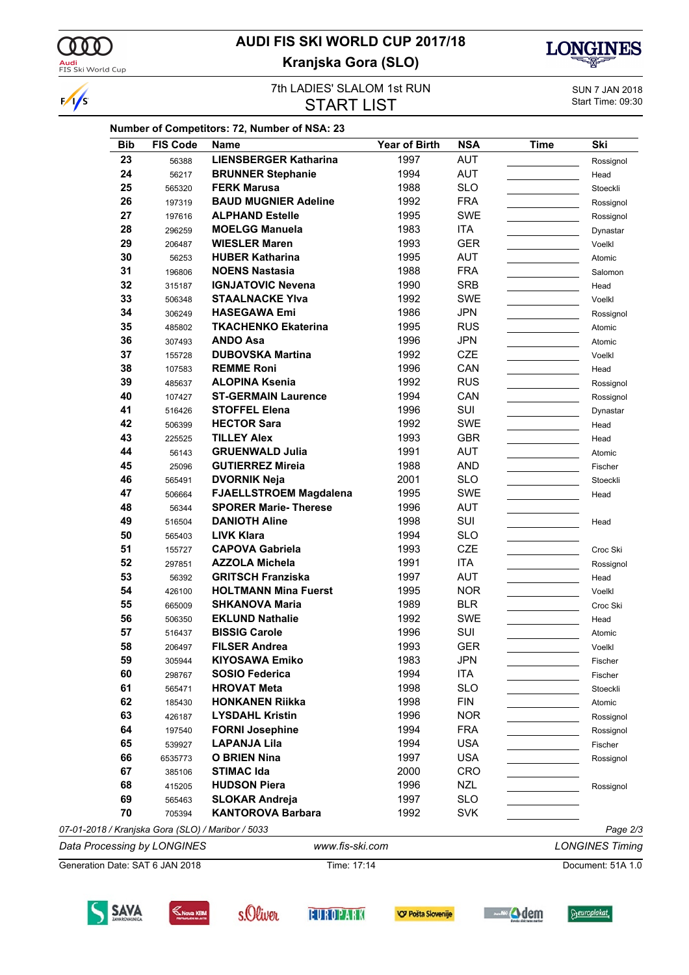

SAVA

 $K$ Nova KBM

s.Oliver

**EUROPARK** 

**V Pošta Slovenije** 

 $\sqrt{s}$ 

### **AUDI FIS SKI WORLD CUP 2017/18 Kranjska Gora (SLO)**



**Seuroplakat** 

**State of Auditor** 

#### **7th LADIES' SLALOM 1st RUN**<br> **SUN 7 JAN 2018**<br> **Start Time: 09:30** START LIST

|                                                   |                                          |                                                        |                                 | Ski                    |
|---------------------------------------------------|------------------------------------------|--------------------------------------------------------|---------------------------------|------------------------|
| <b>LIENSBERGER Katharina</b>                      | 1997                                     | <b>AUT</b>                                             |                                 | Rossignol              |
| <b>BRUNNER Stephanie</b>                          | 1994                                     | <b>AUT</b>                                             |                                 | Head                   |
| <b>FERK Marusa</b>                                | 1988                                     | <b>SLO</b>                                             |                                 | Stoeckli               |
| <b>BAUD MUGNIER Adeline</b>                       | 1992                                     | <b>FRA</b>                                             |                                 | Rossignol              |
| <b>ALPHAND Estelle</b>                            | 1995                                     | <b>SWE</b>                                             |                                 | Rossignol              |
| <b>MOELGG Manuela</b>                             | 1983                                     | <b>ITA</b>                                             |                                 | Dynastar               |
| <b>WIESLER Maren</b>                              | 1993                                     | <b>GER</b>                                             |                                 | Voelkl                 |
| <b>HUBER Katharina</b>                            | 1995                                     | <b>AUT</b>                                             |                                 | Atomic                 |
| <b>NOENS Nastasia</b>                             | 1988                                     | <b>FRA</b>                                             |                                 | Salomon                |
| <b>IGNJATOVIC Nevena</b>                          | 1990                                     | <b>SRB</b>                                             |                                 | Head                   |
| <b>STAALNACKE YIva</b>                            | 1992                                     | <b>SWE</b>                                             |                                 | Voelkl                 |
| <b>HASEGAWA Emi</b>                               | 1986                                     | <b>JPN</b>                                             |                                 | Rossignol              |
| <b>TKACHENKO Ekaterina</b>                        | 1995                                     | <b>RUS</b>                                             |                                 | Atomic                 |
| <b>ANDO Asa</b>                                   | 1996                                     | <b>JPN</b>                                             |                                 | Atomic                 |
| <b>DUBOVSKA Martina</b>                           | 1992                                     | <b>CZE</b>                                             |                                 | Voelkl                 |
| <b>REMME Roni</b>                                 | 1996                                     | CAN                                                    |                                 | Head                   |
| <b>ALOPINA Ksenia</b>                             | 1992                                     | <b>RUS</b>                                             |                                 | Rossignol              |
| <b>ST-GERMAIN Laurence</b>                        | 1994                                     | CAN                                                    |                                 | Rossignol              |
| <b>STOFFEL Elena</b>                              | 1996                                     | SUI                                                    |                                 | Dynastar               |
| <b>HECTOR Sara</b>                                | 1992                                     | <b>SWE</b>                                             |                                 | Head                   |
| <b>TILLEY Alex</b>                                | 1993                                     | <b>GBR</b>                                             |                                 | Head                   |
| <b>GRUENWALD Julia</b>                            | 1991                                     | <b>AUT</b>                                             |                                 | Atomic                 |
| <b>GUTIERREZ Mireia</b>                           | 1988                                     | <b>AND</b>                                             |                                 | Fischer                |
| <b>DVORNIK Neja</b>                               | 2001                                     | <b>SLO</b>                                             |                                 | Stoeckli               |
| <b>FJAELLSTROEM Magdalena</b>                     | 1995                                     | <b>SWE</b>                                             |                                 | Head                   |
| <b>SPORER Marie-Therese</b>                       | 1996                                     | <b>AUT</b>                                             |                                 |                        |
| <b>DANIOTH Aline</b>                              | 1998                                     | SUI                                                    |                                 | Head                   |
| <b>LIVK Klara</b>                                 | 1994                                     | <b>SLO</b>                                             |                                 |                        |
| <b>CAPOVA Gabriela</b>                            | 1993                                     | <b>CZE</b>                                             |                                 | Croc Ski               |
| <b>AZZOLA Michela</b>                             | 1991                                     | ITA                                                    |                                 |                        |
| <b>GRITSCH Franziska</b>                          | 1997                                     | <b>AUT</b>                                             |                                 | Rossignol              |
| <b>HOLTMANN Mina Fuerst</b>                       | 1995                                     | <b>NOR</b>                                             |                                 | Head                   |
| <b>SHKANOVA Maria</b>                             |                                          |                                                        |                                 | Voelkl                 |
| <b>EKLUND Nathalie</b>                            | 1989                                     | <b>BLR</b>                                             |                                 | Croc Ski               |
| <b>BISSIG Carole</b>                              | 1992                                     | SWE                                                    |                                 | Head                   |
|                                                   | 1996                                     | SUI                                                    |                                 | Atomic                 |
| <b>FILSER Andrea</b>                              | 1993                                     | <b>GER</b>                                             |                                 | Voelkl                 |
| <b>KIYOSAWA Emiko</b>                             | 1983                                     | <b>JPN</b>                                             |                                 | Fischer                |
| <b>SOSIO Federica</b>                             | 1994                                     | <b>ITA</b>                                             |                                 | Fischer                |
| <b>HROVAT Meta</b>                                | 1998                                     | <b>SLO</b>                                             |                                 | Stoeckli               |
| <b>HONKANEN Riikka</b>                            | 1998                                     | <b>FIN</b>                                             |                                 | Atomic                 |
| <b>LYSDAHL Kristin</b>                            | 1996                                     | <b>NOR</b>                                             |                                 | Rossignol              |
| <b>FORNI Josephine</b>                            | 1994                                     | <b>FRA</b>                                             |                                 | Rossignol              |
| <b>LAPANJA Lila</b>                               | 1994                                     | <b>USA</b>                                             |                                 | Fischer                |
| <b>O BRIEN Nina</b>                               | 1997                                     | <b>USA</b>                                             |                                 | Rossignol              |
|                                                   |                                          |                                                        |                                 |                        |
|                                                   |                                          |                                                        |                                 | Rossignol              |
| <b>SLOKAR Andreja</b>                             |                                          |                                                        |                                 |                        |
| <b>KANTOROVA Barbara</b>                          | 1992                                     | <b>SVK</b>                                             |                                 |                        |
| 07-01-2018 / Kranjska Gora (SLO) / Maribor / 5033 |                                          |                                                        |                                 | Page 2/3               |
|                                                   |                                          |                                                        |                                 | <b>LONGINES Timing</b> |
|                                                   | <b>STIMAC Ida</b><br><b>HUDSON Piera</b> | 2000<br>1996<br>1997<br>www.fis-ski.com<br>Time: 17:14 | CRO<br><b>NZL</b><br><b>SLO</b> | Document: 51A 1.0      |